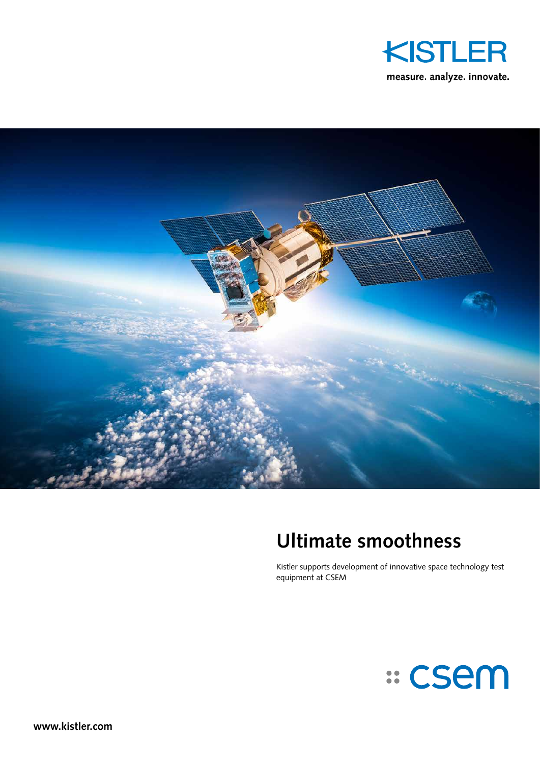



# **Ultimate smoothness**

Kistler supports development of innovative space technology test equipment at CSEM

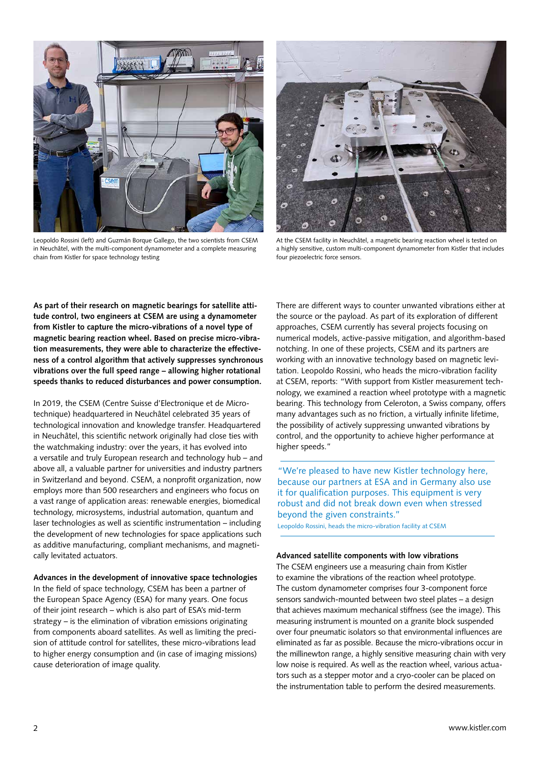

Leopoldo Rossini (left) and Guzmán Borque Gallego, the two scientists from CSEM in Neuchâtel, with the multi-component dynamometer and a complete measuring chain from Kistler for space technology testing



At the CSEM facility in Neuchâtel, a magnetic bearing reaction wheel is tested on a highly sensitive, custom multi-component dynamometer from Kistler that includes four piezoelectric force sensors.

**As part of their research on magnetic bearings for satellite attitude control, two engineers at CSEM are using a dynamometer from Kistler to capture the micro-vibrations of a novel type of magnetic bearing reaction wheel. Based on precise micro-vibration measurements, they were able to characterize the effectiveness of a control algorithm that actively suppresses synchronous vibrations over the full speed range – allowing higher rotational speeds thanks to reduced disturbances and power consumption.** 

In 2019, the CSEM (Centre Suisse d'Electronique et de Microtechnique) headquartered in Neuchâtel celebrated 35 years of technological innovation and knowledge transfer. Headquartered in Neuchâtel, this scientific network originally had close ties with the watchmaking industry: over the years, it has evolved into a versatile and truly European research and technology hub – and above all, a valuable partner for universities and industry partners in Switzerland and beyond. CSEM, a nonprofit organization, now employs more than 500 researchers and engineers who focus on a vast range of application areas: renewable energies, biomedical technology, microsystems, industrial automation, quantum and laser technologies as well as scientific instrumentation – including the development of new technologies for space applications such as additive manufacturing, compliant mechanisms, and magnetically levitated actuators.

## **Advances in the development of innovative space technologies**

In the field of space technology, CSEM has been a partner of the European Space Agency (ESA) for many years. One focus of their joint research – which is also part of ESA's mid-term strategy – is the elimination of vibration emissions originating from components aboard satellites. As well as limiting the precision of attitude control for satellites, these micro-vibrations lead to higher energy consumption and (in case of imaging missions) cause deterioration of image quality.

There are different ways to counter unwanted vibrations either at the source or the payload. As part of its exploration of different approaches, CSEM currently has several projects focusing on numerical models, active-passive mitigation, and algorithm-based notching. In one of these projects, CSEM and its partners are working with an innovative technology based on magnetic levitation. Leopoldo Rossini, who heads the micro-vibration facility at CSEM, reports: "With support from Kistler measurement technology, we examined a reaction wheel prototype with a magnetic bearing. This technology from Celeroton, a Swiss company, offers many advantages such as no friction, a virtually infinite lifetime, the possibility of actively suppressing unwanted vibrations by control, and the opportunity to achieve higher performance at higher speeds."

"We're pleased to have new Kistler technology here, because our partners at ESA and in Germany also use it for qualification purposes. This equipment is very robust and did not break down even when stressed beyond the given constraints."

Leopoldo Rossini, heads the micro-vibration facility at CSEM

#### **Advanced satellite components with low vibrations**

The CSEM engineers use a measuring chain from Kistler to examine the vibrations of the reaction wheel prototype. The custom dynamometer comprises four 3-component force sensors sandwich-mounted between two steel plates – a design that achieves maximum mechanical stiffness (see the image). This measuring instrument is mounted on a granite block suspended over four pneumatic isolators so that environmental influences are eliminated as far as possible. Because the micro-vibrations occur in the millinewton range, a highly sensitive measuring chain with very low noise is required. As well as the reaction wheel, various actuators such as a stepper motor and a cryo-cooler can be placed on the instrumentation table to perform the desired measurements.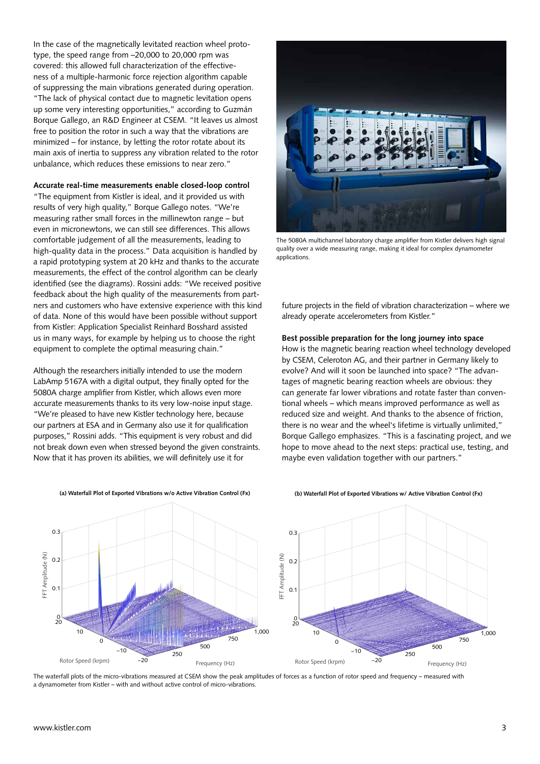In the case of the magnetically levitated reaction wheel prototype, the speed range from –20,000 to 20,000 rpm was covered: this allowed full characterization of the effectiveness of a multiple-harmonic force rejection algorithm capable of suppressing the main vibrations generated during operation. "The lack of physical contact due to magnetic levitation opens up some very interesting opportunities," according to Guzmán Borque Gallego, an R&D Engineer at CSEM. "It leaves us almost free to position the rotor in such a way that the vibrations are minimized – for instance, by letting the rotor rotate about its main axis of inertia to suppress any vibration related to the rotor unbalance, which reduces these emissions to near zero."

## **Accurate real-time measurements enable closed-loop control**

"The equipment from Kistler is ideal, and it provided us with results of very high quality," Borque Gallego notes. "We're measuring rather small forces in the millinewton range – but even in micronewtons, we can still see differences. This allows comfortable judgement of all the measurements, leading to high-quality data in the process." Data acquisition is handled by a rapid prototyping system at 20 kHz and thanks to the accurate measurements, the effect of the control algorithm can be clearly identified (see the diagrams). Rossini adds: "We received positive feedback about the high quality of the measurements from partners and customers who have extensive experience with this kind of data. None of this would have been possible without support from Kistler: Application Specialist Reinhard Bosshard assisted us in many ways, for example by helping us to choose the right equipment to complete the optimal measuring chain."

Although the researchers initially intended to use the modern LabAmp 5167A with a digital output, they finally opted for the 5080A charge amplifier from Kistler, which allows even more accurate measurements thanks to its very low-noise input stage. "We're pleased to have new Kistler technology here, because our partners at ESA and in Germany also use it for qualification purposes," Rossini adds. "This equipment is very robust and did not break down even when stressed beyond the given constraints. Now that it has proven its abilities, we will definitely use it for



The 5080A multichannel laboratory charge amplifier from Kistler delivers high signal quality over a wide measuring range, making it ideal for complex dynamometer applications.

future projects in the field of vibration characterization – where we already operate accelerometers from Kistler."

## **Best possible preparation for the long journey into space**

How is the magnetic bearing reaction wheel technology developed by CSEM, Celeroton AG, and their partner in Germany likely to evolve? And will it soon be launched into space? "The advantages of magnetic bearing reaction wheels are obvious: they can generate far lower vibrations and rotate faster than conventional wheels – which means improved performance as well as reduced size and weight. And thanks to the absence of friction, there is no wear and the wheel's lifetime is virtually unlimited," Borque Gallego emphasizes. "This is a fascinating project, and we hope to move ahead to the next steps: practical use, testing, and maybe even validation together with our partners."



**(a) Waterfall Plot of Exported Vibrations w/o Active Vibration Control (Fx)**

#### **(b) Waterfall Plot of Exported Vibrations w/ Active Vibration Control (Fx)**

The waterfall plots of the micro-vibrations measured at CSEM show the peak amplitudes of forces as a function of rotor speed and frequency – measured with a dynamometer from Kistler – with and without active control of micro-vibrations.